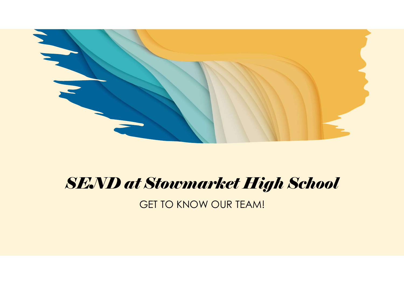

# SEND at Stowmarket High School

GET TO KNOW OUR TEAM!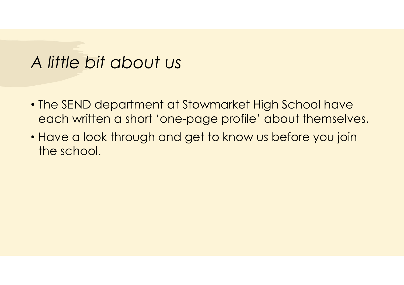# A little bit about us

- The SEND department at Stowmarket High School have each written a short 'one-page profile' about themselves.
- Have a look through and get to know us before you join the school.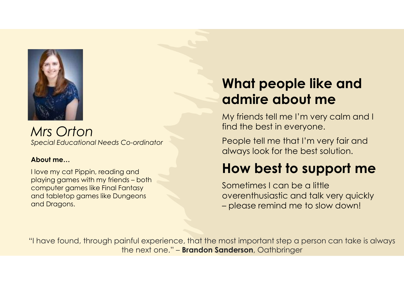

Mrs Orton Special Educational Needs Co-ordinator

#### About me…

I love my cat Pippin, reading and What peop<br>
My friends tell me<br>
My friends tell me<br>
My friends tell me<br>
My friends tell me<br>
My friends tell me<br>
My friends tell me<br>
My friends tell me<br>
My friends tell me<br>
My friends tell me<br>
flow best in a How best for<br>
Ab computer games like Final Fantasy and tabletop games like Dungeons and Dragons.

## What people like and admire about me

My friends tell me I'm very calm and I find the best in everyone.

People tell me that I'm very fair and always look for the best solution.

## How best to support me

Sometimes I can be a little overenthusiastic and talk very quickly What people like and<br>
admire about me<br>
My friends tell me I'm very calm and I<br>
find the best in everyone.<br>
People tell me that I'm very fair and<br>
always look for the best solution.<br> **How best to support me**<br>
Sometimes I ca

"I have found, through painful experience, that the most important step a person can take is always the next one." – Brandon Sanderson, Oathbringer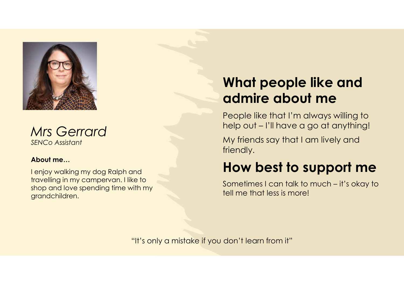

Mrs Gerrard SENCo Assistant

#### About me…

I enjoy walking my dog Ralph and travelling in my campervan. I like to shop and love spending time with my grandchildren.

# What people like and admire about me **What people like and<br>admire about me**<br>People like that I'm always willing to<br>help out – I'll have a go at anything!<br>My friends say that I am lively and<br>friendly. **What people like and<br>admire about me**<br>People like that I'm always willing to<br>help out – I'll have a go at anything!<br>My friends say that I am lively and<br>friendly.<br>**How best to support me**<br>Sometimes I can talk to much – it'

People like that I'm always willing to

My friends say that I am lively and friendly.

## How best to support me

tell me that less is more!

"It's only a mistake if you don't learn from it"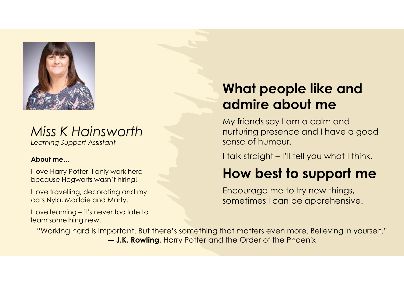

#### Miss K Hainsworth Learning Support Assistant

#### About me…

I love Harry Potter, I only work here because Hogwarts wasn't hiring!

I love travelling, decorating and my cats Nyla, Maddie and Marty.

learn something new.

## What people like and admire about me

My friends say I am a calm and nurturing presence and I have a good sense of humour. What people like and<br>admire about me<br>My friends say I am a calm and<br>nurturing presence and I have a good<br>sense of humour.<br>I talk straight – I'll tell you what I think.<br>**How best to support me** 

## How best to support me

Encourage me to try new things, sometimes I can be apprehensive.

Miss K Hainsworth<br>
Miss K Hainsworth<br>
Now the murtu sense of the murtu sense of the murture of the murture of the sense of the server of the because Hogwarts wasn't hiring!<br>
I love travelling, decorating and my Encode to l "Working hard is important. But there's something that matters even more. Believing in yourself." ― J.K. Rowling, Harry Potter and the Order of the Phoenix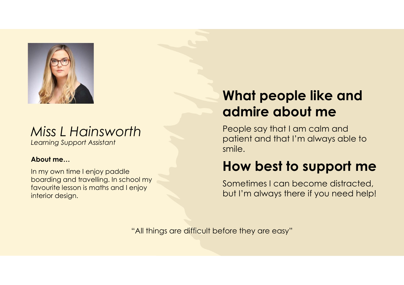

#### Miss L Hainsworth Learning Support Assistant

#### About me…

In my own time I enjoy paddle boarding and travelling. In school my favourite lesson is maths and I enjoy interior design.

## What people like and admire about me

People say that I am calm and patient and that I'm always able to smile.

## How best to support me

Sometimes I can become distracted, but I'm always there if you need help!

"All things are difficult before they are easy"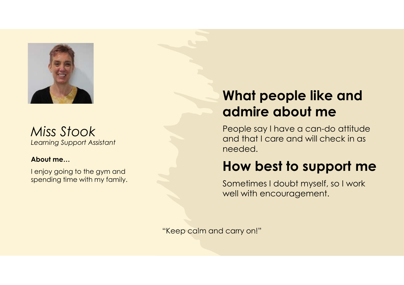

Miss Stook Learning Support Assistant

#### About me…

I enjoy going to the gym and spending time with my family.

## What people like and admire about me

People say I have a can-do attitude and that I care and will check in as needed.

## How best to support me

Sometimes I doubt myself, so I work well with encouragement.

"Keep calm and carry on!"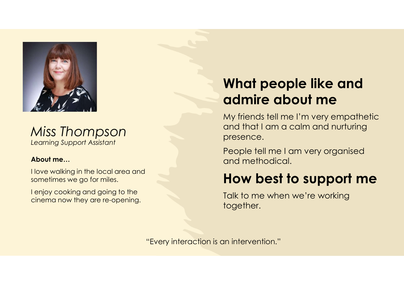



#### About me…

I love walking in the local area and sometimes we go for miles.

I enjoy cooking and going to the cinema now they are re-opening.

## What people like and admire about me

My friends tell me I'm very empathetic and that I am a calm and nurturing presence.

People tell me I am very organised and methodical.

#### How best to support me

Talk to me when we're working together.

"Every interaction is an intervention."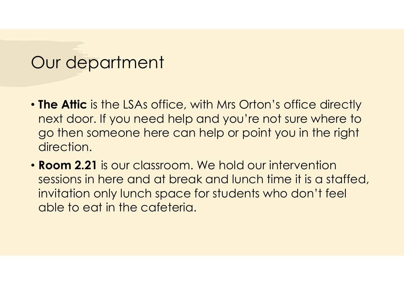## Our department

- The Attic is the LSAs office, with Mrs Orton's office directly next door. If you need help and you're not sure where to go then someone here can help or point you in the right direction.
- Room 2.21 is our classroom. We hold our intervention sessions in here and at break and lunch time it is a staffed, invitation only lunch space for students who don't feel able to eat in the cafeteria.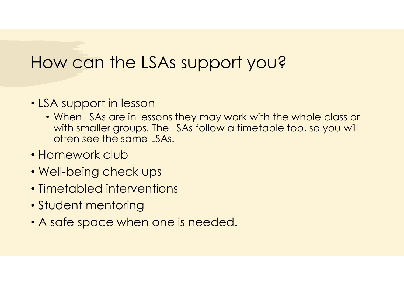# How can the LSAs support you?

#### • LSA support in lesson

- When LSAs are in lessons they may work with the whole class or with smaller groups. The LSAs follow a timetable too, so you will often see the same LSAs.
- Homework club
- Well-being check ups
- Timetabled interventions
- Student mentoring
- A safe space when one is needed.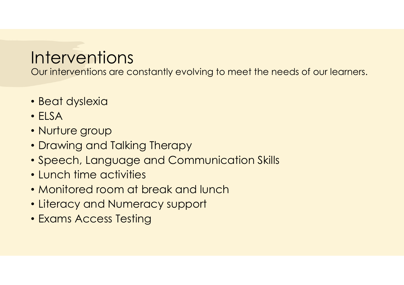# **Interventions**

Our interventions are constantly evolving to meet the needs of our learners.

- Beat dyslexia
- ELSA
- Nurture group
- Drawing and Talking Therapy
- Speech, Language and Communication Skills
- Lunch time activities
- Monitored room at break and lunch
- Literacy and Numeracy support
- Exams Access Testing